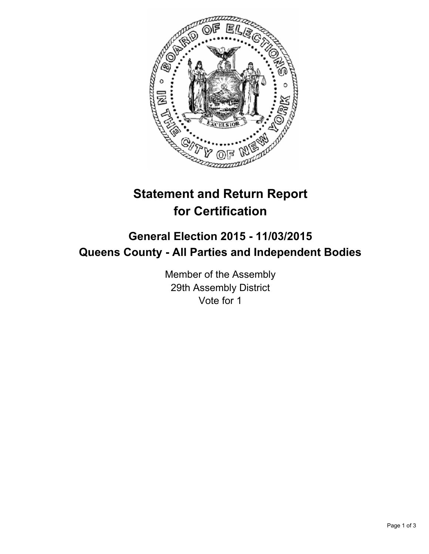

# **Statement and Return Report for Certification**

## **General Election 2015 - 11/03/2015 Queens County - All Parties and Independent Bodies**

Member of the Assembly 29th Assembly District Vote for 1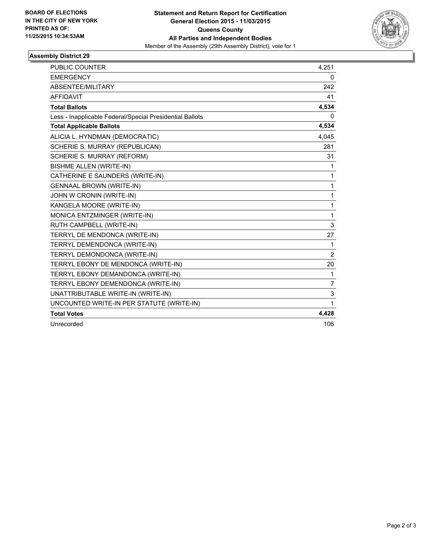

### **Assembly District 29**

| PUBLIC COUNTER                                           | 4,251          |
|----------------------------------------------------------|----------------|
| <b>EMERGENCY</b>                                         | 0              |
| ABSENTEE/MILITARY                                        | 242            |
| <b>AFFIDAVIT</b>                                         | 41             |
| <b>Total Ballots</b>                                     | 4,534          |
| Less - Inapplicable Federal/Special Presidential Ballots | 0              |
| <b>Total Applicable Ballots</b>                          | 4,534          |
| ALICIA L. HYNDMAN (DEMOCRATIC)                           | 4,045          |
| SCHERIE S. MURRAY (REPUBLICAN)                           | 281            |
| SCHERIE S. MURRAY (REFORM)                               | 31             |
| <b>BISHME ALLEN (WRITE-IN)</b>                           | 1              |
| CATHERINE E SAUNDERS (WRITE-IN)                          | $\mathbf{1}$   |
| <b>GENNAAL BROWN (WRITE-IN)</b>                          | 1              |
| JOHN W CRONIN (WRITE-IN)                                 | $\mathbf{1}$   |
| KANGELA MOORE (WRITE-IN)                                 | 1              |
| MONICA ENTZMINGER (WRITE-IN)                             | 1              |
| RUTH CAMPBELL (WRITE-IN)                                 | 3              |
| TERRYL DE MENDONCA (WRITE-IN)                            | 27             |
| TERRYL DEMENDONCA (WRITE-IN)                             | 1              |
| TERRYL DEMONDONCA (WRITE-IN)                             | $\overline{2}$ |
| TERRYL EBONY DE MENDONCA (WRITE-IN)                      | 20             |
| TERRYL EBONY DEMANDONCA (WRITE-IN)                       | $\mathbf{1}$   |
| TERRYL EBONY DEMENDONCA (WRITE-IN)                       | 7              |
| UNATTRIBUTABLE WRITE-IN (WRITE-IN)                       | 3              |
| UNCOUNTED WRITE-IN PER STATUTE (WRITE-IN)                | 1              |
| <b>Total Votes</b>                                       | 4,428          |
| Unrecorded                                               | 106            |